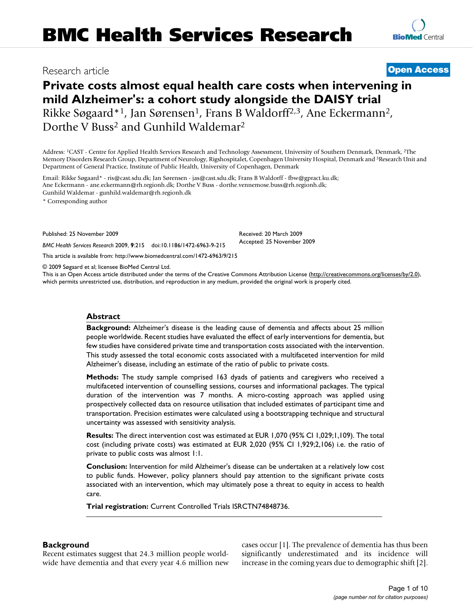# **Private costs almost equal health care costs when intervening in mild Alzheimer's: a cohort study alongside the DAISY trial** Rikke Søgaard\*<sup>1</sup>, Jan Sørensen<sup>1</sup>, Frans B Waldorff<sup>2,3</sup>, Ane Eckermann<sup>2</sup>, Dorthe V Buss2 and Gunhild Waldemar2

Address: 1CAST - Centre for Applied Health Services Research and Technology Assessment, University of Southern Denmark, Denmark, 2The Memory Disorders Research Group, Department of Neurology, Rigshospitalet, Copenhagen University Hospital, Denmark and 3Research Unit and Department of General Practice, Institute of Public Health, University of Copenhagen, Denmark

Email: Rikke Søgaard\* - ris@cast.sdu.dk; Jan Sørensen - jas@cast.sdu.dk; Frans B Waldorff - fbw@gpract.ku.dk; Ane Eckermann - ane.eckermann@rh.regionh.dk; Dorthe V Buss - dorthe.vennemose.buss@rh.regionh.dk; Gunhild Waldemar - gunhild.waldemar@rh.regionh.dk

\* Corresponding author

Published: 25 November 2009

*BMC Health Services Research* 2009, **9**:215 doi:10.1186/1472-6963-9-215

[This article is available from: http://www.biomedcentral.com/1472-6963/9/215](http://www.biomedcentral.com/1472-6963/9/215)

© 2009 Søgaard et al; licensee BioMed Central Ltd.

This is an Open Access article distributed under the terms of the Creative Commons Attribution License [\(http://creativecommons.org/licenses/by/2.0\)](http://creativecommons.org/licenses/by/2.0), which permits unrestricted use, distribution, and reproduction in any medium, provided the original work is properly cited.

#### **Abstract**

**Background:** Alzheimer's disease is the leading cause of dementia and affects about 25 million people worldwide. Recent studies have evaluated the effect of early interventions for dementia, but few studies have considered private time and transportation costs associated with the intervention. This study assessed the total economic costs associated with a multifaceted intervention for mild Alzheimer's disease, including an estimate of the ratio of public to private costs.

**Methods:** The study sample comprised 163 dyads of patients and caregivers who received a multifaceted intervention of counselling sessions, courses and informational packages. The typical duration of the intervention was 7 months. A micro-costing approach was applied using prospectively collected data on resource utilisation that included estimates of participant time and transportation. Precision estimates were calculated using a bootstrapping technique and structural uncertainty was assessed with sensitivity analysis.

**Results:** The direct intervention cost was estimated at EUR 1,070 (95% CI 1,029;1,109). The total cost (including private costs) was estimated at EUR 2,020 (95% CI 1,929;2,106) i.e. the ratio of private to public costs was almost 1:1.

**Conclusion:** Intervention for mild Alzheimer's disease can be undertaken at a relatively low cost to public funds. However, policy planners should pay attention to the significant private costs associated with an intervention, which may ultimately pose a threat to equity in access to health care.

**Trial registration:** Current Controlled Trials ISRCTN74848736.

#### **Background**

Recent estimates suggest that 24.3 million people worldwide have dementia and that every year 4.6 million new cases occur [1]. The prevalence of dementia has thus been significantly underestimated and its incidence will increase in the coming years due to demographic shift [2].



## Research article **[Open Access](http://www.biomedcentral.com/info/about/charter/)**

Received: 20 March 2009 Accepted: 25 November 2009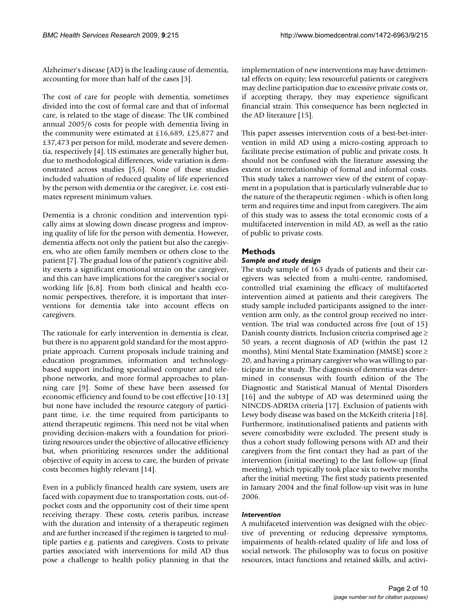Alzheimer's disease (AD) is the leading cause of dementia, accounting for more than half of the cases [3].

The cost of care for people with dementia, sometimes divided into the cost of formal care and that of informal care, is related to the stage of disease. The UK combined annual 2005/6 costs for people with dementia living in the community were estimated at £16,689, £25,877 and £37,473 per person for mild, moderate and severe dementia, respectively [4]. US estimates are generally higher but, due to methodological differences, wide variation is demonstrated across studies [5,6]. None of these studies included valuation of reduced quality of life experienced by the person with dementia or the caregiver, i.e. cost estimates represent minimum values.

Dementia is a chronic condition and intervention typically aims at slowing down disease progress and improving quality of life for the person with dementia. However, dementia affects not only the patient but also the caregivers, who are often family members or others close to the patient [7]. The gradual loss of the patient's cognitive ability exerts a significant emotional strain on the caregiver, and this can have implications for the caregiver's social or working life [6,8]. From both clinical and health economic perspectives, therefore, it is important that interventions for dementia take into account effects on caregivers.

The rationale for early intervention in dementia is clear, but there is no apparent gold standard for the most appropriate approach. Current proposals include training and education programmes, information and technologybased support including specialised computer and telephone networks, and more formal approaches to planning care [9]. Some of these have been assessed for economic efficiency and found to be cost effective [10-13] but none have included the resource category of participant time, i.e. the time required from participants to attend therapeutic regimens. This need not be vital when providing decision-makers with a foundation for prioritizing resources under the objective of allocative efficiency but, when prioritizing resources under the additional objective of equity in access to care, the burden of private costs becomes highly relevant [14].

Even in a publicly financed health care system, users are faced with copayment due to transportation costs, out-ofpocket costs and the opportunity cost of their time spent receiving therapy. These costs, ceteris paribus, increase with the duration and intensity of a therapeutic regimen and are further increased if the regimen is targeted to multiple parties e.g. patients and caregivers. Costs to private parties associated with interventions for mild AD thus pose a challenge to health policy planning in that the implementation of new interventions may have detrimental effects on equity; less resourceful patients or caregivers may decline participation due to excessive private costs or, if accepting therapy, they may experience significant financial strain. This consequence has been neglected in the AD literature [15].

This paper assesses intervention costs of a best-bet-intervention in mild AD using a micro-costing approach to facilitate precise estimation of public and private costs. It should not be confused with the literature assessing the extent or interrelationship of formal and informal costs. This study takes a narrower view of the extent of copayment in a population that is particularly vulnerable due to the nature of the therapeutic regimen - which is often long term and requires time and input from caregivers. The aim of this study was to assess the total economic costs of a multifaceted intervention in mild AD, as well as the ratio of public to private costs.

### **Methods**

#### *Sample and study design*

The study sample of 163 dyads of patients and their caregivers was selected from a multi-centre, randomised, controlled trial examining the efficacy of multifaceted intervention aimed at patients and their caregivers. The study sample included participants assigned to the intervention arm only, as the control group received no intervention. The trial was conducted across five (out of 15) Danish county districts. Inclusion criteria comprised age ≥ 50 years, a recent diagnosis of AD (within the past 12 months), Mini Mental State Examination (MMSE) score ≥ 20, and having a primary caregiver who was willing to participate in the study. The diagnosis of dementia was determined in consensus with fourth edition of the The Diagnostic and Statistical Manual of Mental Disorders [16] and the subtype of AD was determined using the NINCDS-ADRDA criteria [17]. Exclusion of patients with Lewy body disease was based on the McKeith criteria [18]. Furthermore, institutionalised patients and patients with severe comorbidity were excluded. The present study is thus a cohort study following persons with AD and their caregivers from the first contact they had as part of the intervention (initial meeting) to the last follow-up (final meeting), which typically took place six to twelve months after the initial meeting. The first study patients presented in January 2004 and the final follow-up visit was in June 2006.

#### *Intervention*

A multifaceted intervention was designed with the objective of preventing or reducing depressive symptoms, impairments of health-related quality of life and loss of social network. The philosophy was to focus on positive resources, intact functions and retained skills, and activi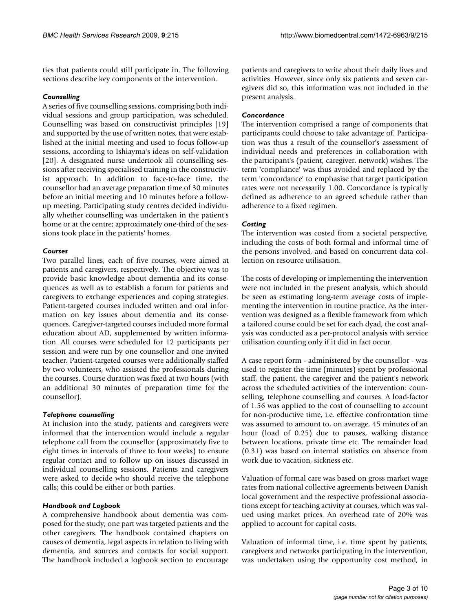ties that patients could still participate in. The following sections describe key components of the intervention.

#### *Counselling*

A series of five counselling sessions, comprising both individual sessions and group participation, was scheduled. Counselling was based on constructivist principles [19] and supported by the use of written notes, that were established at the initial meeting and used to focus follow-up sessions, according to Ishiayma's ideas on self-validation [20]. A designated nurse undertook all counselling sessions after receiving specialised training in the constructivist approach. In addition to face-to-face time, the counsellor had an average preparation time of 30 minutes before an initial meeting and 10 minutes before a followup meeting. Participating study centres decided individually whether counselling was undertaken in the patient's home or at the centre; approximately one-third of the sessions took place in the patients' homes.

#### *Courses*

Two parallel lines, each of five courses, were aimed at patients and caregivers, respectively. The objective was to provide basic knowledge about dementia and its consequences as well as to establish a forum for patients and caregivers to exchange experiences and coping strategies. Patient-targeted courses included written and oral information on key issues about dementia and its consequences. Caregiver-targeted courses included more formal education about AD, supplemented by written information. All courses were scheduled for 12 participants per session and were run by one counsellor and one invited teacher. Patient-targeted courses were additionally staffed by two volunteers, who assisted the professionals during the courses. Course duration was fixed at two hours (with an additional 30 minutes of preparation time for the counsellor).

#### *Telephone counselling*

At inclusion into the study, patients and caregivers were informed that the intervention would include a regular telephone call from the counsellor (approximately five to eight times in intervals of three to four weeks) to ensure regular contact and to follow up on issues discussed in individual counselling sessions. Patients and caregivers were asked to decide who should receive the telephone calls; this could be either or both parties.

#### *Handbook and Logbook*

A comprehensive handbook about dementia was composed for the study; one part was targeted patients and the other caregivers. The handbook contained chapters on causes of dementia, legal aspects in relation to living with dementia, and sources and contacts for social support. The handbook included a logbook section to encourage patients and caregivers to write about their daily lives and activities. However, since only six patients and seven caregivers did so, this information was not included in the present analysis.

#### *Concordance*

The intervention comprised a range of components that participants could choose to take advantage of. Participation was thus a result of the counsellor's assessment of individual needs and preferences in collaboration with the participant's (patient, caregiver, network) wishes. The term 'compliance' was thus avoided and replaced by the term 'concordance' to emphasise that target participation rates were not necessarily 1.00. Concordance is typically defined as adherence to an agreed schedule rather than adherence to a fixed regimen.

#### *Costing*

The intervention was costed from a societal perspective, including the costs of both formal and informal time of the persons involved, and based on concurrent data collection on resource utilisation.

The costs of developing or implementing the intervention were not included in the present analysis, which should be seen as estimating long-term average costs of implementing the intervention in routine practice. As the intervention was designed as a flexible framework from which a tailored course could be set for each dyad, the cost analysis was conducted as a per-protocol analysis with service utilisation counting only if it did in fact occur.

A case report form - administered by the counsellor - was used to register the time (minutes) spent by professional staff, the patient, the caregiver and the patient's network across the scheduled activities of the intervention: counselling, telephone counselling and courses. A load-factor of 1.56 was applied to the cost of counselling to account for non-productive time, i.e. effective confrontation time was assumed to amount to, on average, 45 minutes of an hour (load of 0.25) due to pauses, walking distance between locations, private time etc. The remainder load (0.31) was based on internal statistics on absence from work due to vacation, sickness etc.

Valuation of formal care was based on gross market wage rates from national collective agreements between Danish local government and the respective professional associations except for teaching activity at courses, which was valued using market prices. An overhead rate of 20% was applied to account for capital costs.

Valuation of informal time, i.e. time spent by patients, caregivers and networks participating in the intervention, was undertaken using the opportunity cost method, in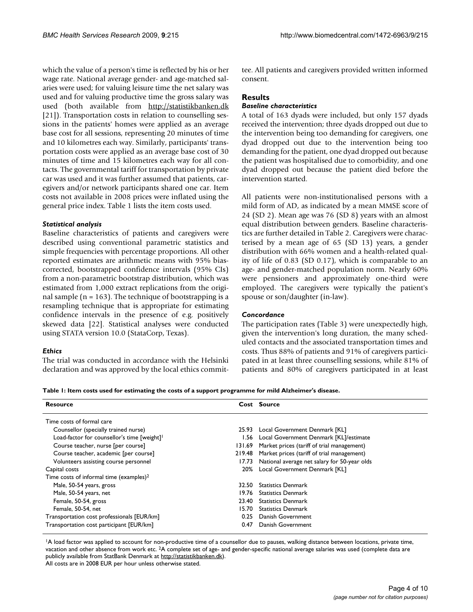which the value of a person's time is reflected by his or her wage rate. National average gender- and age-matched salaries were used; for valuing leisure time the net salary was used and for valuing productive time the gross salary was used (both available from <http://statistikbanken.dk> [21]). Transportation costs in relation to counselling sessions in the patients' homes were applied as an average base cost for all sessions, representing 20 minutes of time and 10 kilometres each way. Similarly, participants' transportation costs were applied as an average base cost of 30 minutes of time and 15 kilometres each way for all contacts. The governmental tariff for transportation by private car was used and it was further assumed that patients, caregivers and/or network participants shared one car. Item costs not available in 2008 prices were inflated using the general price index. Table 1 lists the item costs used.

#### *Statistical analysis*

Baseline characteristics of patients and caregivers were described using conventional parametric statistics and simple frequencies with percentage proportions. All other reported estimates are arithmetic means with 95% biascorrected, bootstrapped confidence intervals (95% CIs) from a non-parametric bootstrap distribution, which was estimated from 1,000 extract replications from the original sample ( $n = 163$ ). The technique of bootstrapping is a resampling technique that is appropriate for estimating confidence intervals in the presence of e.g. positively skewed data [22]. Statistical analyses were conducted using STATA version 10.0 (StataCorp, Texas).

#### *Ethics*

The trial was conducted in accordance with the Helsinki declaration and was approved by the local ethics committee. All patients and caregivers provided written informed consent.

#### **Results**

#### *Baseline characteristics*

A total of 163 dyads were included, but only 157 dyads received the intervention; three dyads dropped out due to the intervention being too demanding for caregivers, one dyad dropped out due to the intervention being too demanding for the patient, one dyad dropped out because the patient was hospitalised due to comorbidity, and one dyad dropped out because the patient died before the intervention started.

All patients were non-institutionalised persons with a mild form of AD, as indicated by a mean MMSE score of 24 (SD 2). Mean age was 76 (SD 8) years with an almost equal distribution between genders. Baseline characteristics are further detailed in Table 2. Caregivers were characterised by a mean age of 65 (SD 13) years, a gender distribution with 66% women and a health-related quality of life of 0.83 (SD 0.17), which is comparable to an age- and gender-matched population norm. Nearly 60% were pensioners and approximately one-third were employed. The caregivers were typically the patient's spouse or son/daughter (in-law).

#### *Concordance*

The participation rates (Table 3) were unexpectedly high, given the intervention's long duration, the many scheduled contacts and the associated transportation times and costs. Thus 88% of patients and 91% of caregivers participated in at least three counselling sessions, while 81% of patients and 80% of caregivers participated in at least

**Table 1: Item costs used for estimating the costs of a support programme for mild Alzheimer's disease.** 

| Cost Source                                           |
|-------------------------------------------------------|
|                                                       |
|                                                       |
| Local Government Denmark [KL]<br>25.93                |
| Local Government Denmark [KL]/estimate<br>I.56        |
| Market prices (tariff of trial management)<br>131.69  |
| Market prices (tariff of trial management)<br>219.48  |
| National average net salary for 50-year olds<br>17.73 |
| 20% Local Government Denmark [KL]                     |
|                                                       |
| <b>Statistics Denmark</b><br>32.50                    |
| <b>Statistics Denmark</b><br>19.76                    |
| <b>Statistics Denmark</b><br>23.40                    |
| <b>Statistics Denmark</b><br>15.70                    |
| Danish Government<br>0.25                             |
| Danish Government                                     |
| 0.47                                                  |

<sup>1</sup>A load factor was applied to account for non-productive time of a counsellor due to pauses, walking distance between locations, private time, vacation and other absence from work etc. 2A complete set of age- and gender-specific national average salaries was used (complete data are publicly available from StatBank Denmark at [http://statistikbanken.dk\)](http://statistikbanken.dk).

All costs are in 2008 EUR per hour unless otherwise stated.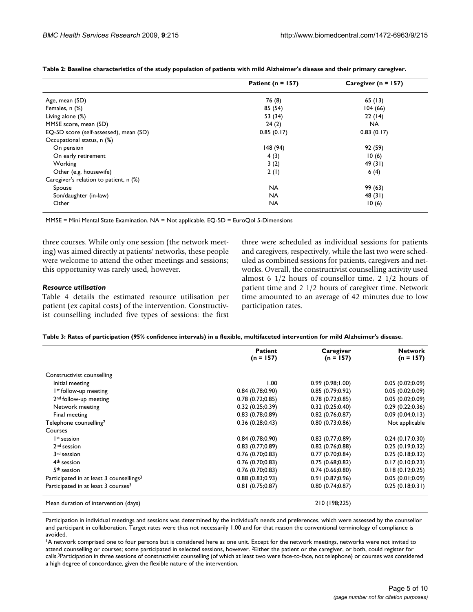|                                        | Patient ( $n = 157$ ) | Caregiver ( $n = 157$ ) |
|----------------------------------------|-----------------------|-------------------------|
| Age, mean (SD)                         | 76 (8)                | 65(13)                  |
| Females, n (%)                         | 85 (54)               | 104(66)                 |
| Living alone (%)                       | 53 (34)               | 22(14)                  |
| MMSE score, mean (SD)                  | 24(2)                 | <b>NA</b>               |
| EQ-5D score (self-assessed), mean (SD) | 0.85(0.17)            | 0.83(0.17)              |
| Occupational status, n (%)             |                       |                         |
| On pension                             | 148 (94)              | 92 (59)                 |
| On early retirement                    | 4(3)                  | 10(6)                   |
| Working                                | 3(2)                  | 49 (31)                 |
| Other (e.g. housewife)                 | 2(1)                  | 6(4)                    |
| Caregiver's relation to patient, n (%) |                       |                         |
| Spouse                                 | <b>NA</b>             | 99 (63)                 |
| Son/daughter (in-law)                  | <b>NA</b>             | 48 (31)                 |
| Other                                  | <b>NA</b>             | 10(6)                   |

**Table 2: Baseline characteristics of the study population of patients with mild Alzheimer's disease and their primary caregiver.**

MMSE = Mini Mental State Examination. NA = Not applicable. EQ-5D = EuroQol 5-Dimensions

three courses. While only one session (the network meeting) was aimed directly at patients' networks, these people were welcome to attend the other meetings and sessions; this opportunity was rarely used, however.

#### *Resource utilisation*

Table 4 details the estimated resource utilisation per patient (ex capital costs) of the intervention. Constructivist counselling included five types of sessions: the first three were scheduled as individual sessions for patients and caregivers, respectively, while the last two were scheduled as combined sessions for patients, caregivers and networks. Overall, the constructivist counselling activity used almost 6 1/2 hours of counsellor time, 2 1/2 hours of patient time and 2 1/2 hours of caregiver time. Network time amounted to an average of 42 minutes due to low participation rates.

|                                                      | <b>Patient</b><br>$(n = 157)$ | Caregiver<br>$(n = 157)$ | <b>Network</b><br>$(n = 157)$ |
|------------------------------------------------------|-------------------------------|--------------------------|-------------------------------|
| Constructivist counselling                           |                               |                          |                               |
| Initial meeting                                      | 1.00                          | 0.99(0.98; 1.00)         | 0.05(0.02;0.09)               |
| I <sup>st</sup> follow-up meeting                    | 0.84(0.78;0.90)               | 0.85(0.79;0.92)          | 0.05(0.02;0.09)               |
| 2 <sup>nd</sup> follow-up meeting                    | 0.78(0.72;0.85)               | 0.78(0.72;0.85)          | 0.05(0.02;0.09)               |
| Network meeting                                      | 0.32(0.25;0.39)               | 0.32(0.25;0.40)          | 0.29(0.22;0.36)               |
| Final meeting                                        | 0.83(0.78;0.89)               | $0.82$ (0.76;0.87)       | 0.09(0.04;0.13)               |
| Telephone counselling <sup>2</sup>                   | 0.36(0.28;0.43)               | 0.80(0.73;0.86)          | Not applicable                |
| Courses                                              |                               |                          |                               |
| I <sup>st</sup> session                              | 0.84(0.78;0.90)               | $0.83$ (0.77;0.89)       | 0.24(0.17;0.30)               |
| 2 <sup>nd</sup> session                              | 0.83(0.77;0.89)               | $0.82$ (0.76;0.88)       | 0.25(0.19;0.32)               |
| 3 <sup>rd</sup> session                              | 0.76(0.70;0.83)               | 0.77(0.70;0.84)          | 0.25(0.18;0.32)               |
| 4 <sup>th</sup> session                              | 0.76(0.70;0.83)               | 0.75(0.68;0.82)          | 0.17(0.10;0.23)               |
| 5 <sup>th</sup> session                              | 0.76(0.70;0.83)               | 0.74(0.66;0.80)          | 0.18(0.12;0.25)               |
| Participated in at least 3 counsellings <sup>3</sup> | 0.88(0.83;0.93)               | 0.91(0.87;0.96)          | 0.05(0.01;0.09)               |
| Participated in at least 3 courses <sup>3</sup>      | 0.81(0.75;0.87)               | 0.80(0.74;0.87)          | 0.25(0.18;0.31)               |
| Mean duration of intervention (days)                 |                               | 210 (198;225)            |                               |

Participation in individual meetings and sessions was determined by the individual's needs and preferences, which were assessed by the counsellor and participant in collaboration. Target rates were thus not necessarily 1.00 and for that reason the conventional terminology of compliance is avoided.

<sup>1</sup>A network comprised one to four persons but is considered here as one unit. Except for the network meetings, networks were not invited to attend counselling or courses; some participated in selected sessions, however. 2Either the patient or the caregiver, or both, could register for calls.3Participation in three sessions of constructivist counselling (of which at least two were face-to-face, not telephone) or courses was considered a high degree of concordance, given the flexible nature of the intervention.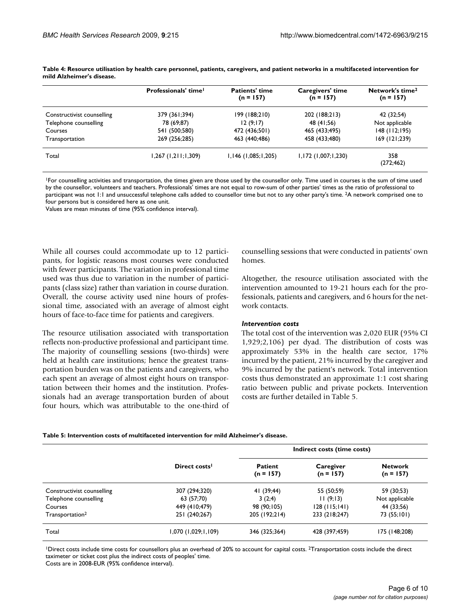|                            | Professionals' time <sup>1</sup> | <b>Patients' time</b><br>$(n = 157)$ | Caregivers' time<br>$(n = 157)$ | Network's time <sup>2</sup><br>$(n = 157)$ |
|----------------------------|----------------------------------|--------------------------------------|---------------------------------|--------------------------------------------|
| Constructivist counselling | 379 (361;394)                    | 199 (188;210)                        | 202 (188;213)                   | 42 (32;54)                                 |
| Telephone counselling      | 78 (69;87)                       | 12(9;17)                             | 48 (41;56)                      | Not applicable                             |
| Courses                    | 541 (500;580)                    | 472 (436;501)                        | 465 (433;495)                   | 148 (112;195)                              |
| Transportation             | 269 (256;285)                    | 463 (440;486)                        | 458 (433;480)                   | 169 (121;239)                              |
| Total                      | I,267 (1,211;1,309)              | $1,146$ (1,085;1,205)                | I, I72 (1,007; I, 230)          | 358<br>(272; 462)                          |

**Table 4: Resource utilisation by health care personnel, patients, caregivers, and patient networks in a multifaceted intervention for mild Alzheimer's disease.** 

1For counselling activities and transportation, the times given are those used by the counsellor only. Time used in courses is the sum of time used by the counsellor, volunteers and teachers. Professionals' times are not equal to row-sum of other parties' times as the ratio of professional to participant was not 1:1 and unsuccessful telephone calls added to counsellor time but not to any other party's time. 2A network comprised one to four persons but is considered here as one unit.

Values are mean minutes of time (95% confidence interval).

While all courses could accommodate up to 12 participants, for logistic reasons most courses were conducted with fewer participants. The variation in professional time used was thus due to variation in the number of participants (class size) rather than variation in course duration. Overall, the course activity used nine hours of professional time, associated with an average of almost eight hours of face-to-face time for patients and caregivers.

The resource utilisation associated with transportation reflects non-productive professional and participant time. The majority of counselling sessions (two-thirds) were held at health care institutions; hence the greatest transportation burden was on the patients and caregivers, who each spent an average of almost eight hours on transportation between their homes and the institution. Professionals had an average transportation burden of about four hours, which was attributable to the one-third of counselling sessions that were conducted in patients' own homes.

Altogether, the resource utilisation associated with the intervention amounted to 19-21 hours each for the professionals, patients and caregivers, and 6 hours for the network contacts.

#### *Intervention costs*

The total cost of the intervention was 2,020 EUR (95% CI 1,929;2,106) per dyad. The distribution of costs was approximately 53% in the health care sector, 17% incurred by the patient, 21% incurred by the caregiver and 9% incurred by the patient's network. Total intervention costs thus demonstrated an approximate 1:1 cost sharing ratio between public and private pockets. Intervention costs are further detailed in Table 5.

|                             | Direct costs <sup>1</sup> |                               | Indirect costs (time costs) |                               |
|-----------------------------|---------------------------|-------------------------------|-----------------------------|-------------------------------|
|                             |                           | <b>Patient</b><br>$(n = 157)$ | Caregiver<br>$(n = 157)$    | <b>Network</b><br>$(n = 157)$ |
| Constructivist counselling  | 307 (294;320)             | 41 (39;44)                    | 55 (50;59)                  | 59 (30;53)                    |
| Telephone counselling       | 63 (57;70)                | 3(2;4)                        | 11(9;13)                    | Not applicable                |
| Courses                     | 449 (410;479)             | 98 (90;105)                   | 128 (115;141)               | 44 (33;56)                    |
| Transportation <sup>2</sup> | 251 (240;267)             | 205 (192;214)                 | 233 (218;247)               | 73 (55;101)                   |
| Total                       | (1,029;۱,۱09) 070,۱       | 346 (325;364)                 | 428 (397;459)               | 175 (148;208)                 |

1Direct costs include time costs for counsellors plus an overhead of 20% to account for capital costs. 2Transportation costs include the direct taximeter or ticket cost plus the indirect costs of peoples' time.

Costs are in 2008-EUR (95% confidence interval).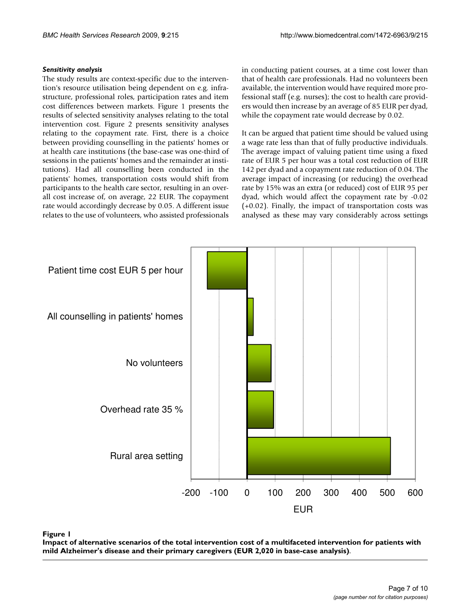#### *Sensitivity analysis*

The study results are context-specific due to the intervention's resource utilisation being dependent on e.g. infrastructure, professional roles, participation rates and item cost differences between markets. Figure 1 presents the results of selected sensitivity analyses relating to the total intervention cost. Figure 2 presents sensitivity analyses relating to the copayment rate. First, there is a choice between providing counselling in the patients' homes or at health care institutions (the base-case was one-third of sessions in the patients' homes and the remainder at institutions). Had all counselling been conducted in the patients' homes, transportation costs would shift from participants to the health care sector, resulting in an overall cost increase of, on average, 22 EUR. The copayment rate would accordingly decrease by 0.05. A different issue relates to the use of volunteers, who assisted professionals in conducting patient courses, at a time cost lower than that of health care professionals. Had no volunteers been available, the intervention would have required more professional staff (e.g. nurses); the cost to health care providers would then increase by an average of 85 EUR per dyad, while the copayment rate would decrease by 0.02.

It can be argued that patient time should be valued using a wage rate less than that of fully productive individuals. The average impact of valuing patient time using a fixed rate of EUR 5 per hour was a total cost reduction of EUR 142 per dyad and a copayment rate reduction of 0.04. The average impact of increasing (or reducing) the overhead rate by 15% was an extra (or reduced) cost of EUR 95 per dyad, which would affect the copayment rate by -0.02 (+0.02). Finally, the impact of transportation costs was analysed as these may vary considerably across settings



Impact of alternative scenarios of the total disease and their primary **Figure 1** caregivers (EUR 2,020 intervention cost of a mult in base-case analysis)ifaceted intervention for patients with mild Alzheimer's

**Impact of alternative scenarios of the total intervention cost of a multifaceted intervention for patients with mild Alzheimer's disease and their primary caregivers (EUR 2,020 in base-case analysis)**.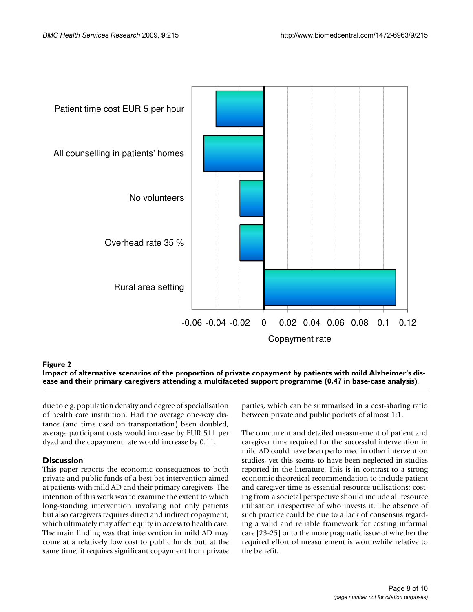

#### Figure 2 and 2008 and 2008 and 2008 and 2008 and 2008 and 2008 and 2008 and 2008 and 2008 and 2008 and 2008 an

**Impact of alternative scenarios of the proportion of private copayment by patients with mild Alzheimer's disease and their primary caregivers attending a multifaceted support programme (0.47 in base-case analysis)**.

due to e.g. population density and degree of specialisation of health care institution. Had the average one-way distance (and time used on transportation) been doubled, average participant costs would increase by EUR 511 per dyad and the copayment rate would increase by 0.11.

#### **Discussion**

This paper reports the economic consequences to both private and public funds of a best-bet intervention aimed at patients with mild AD and their primary caregivers. The intention of this work was to examine the extent to which long-standing intervention involving not only patients but also caregivers requires direct and indirect copayment, which ultimately may affect equity in access to health care. The main finding was that intervention in mild AD may come at a relatively low cost to public funds but, at the same time, it requires significant copayment from private parties, which can be summarised in a cost-sharing ratio between private and public pockets of almost 1:1.

The concurrent and detailed measurement of patient and caregiver time required for the successful intervention in mild AD could have been performed in other intervention studies, yet this seems to have been neglected in studies reported in the literature. This is in contrast to a strong economic theoretical recommendation to include patient and caregiver time as essential resource utilisations: costing from a societal perspective should include all resource utilisation irrespective of who invests it. The absence of such practice could be due to a lack of consensus regarding a valid and reliable framework for costing informal care [23-25] or to the more pragmatic issue of whether the required effort of measurement is worthwhile relative to the benefit.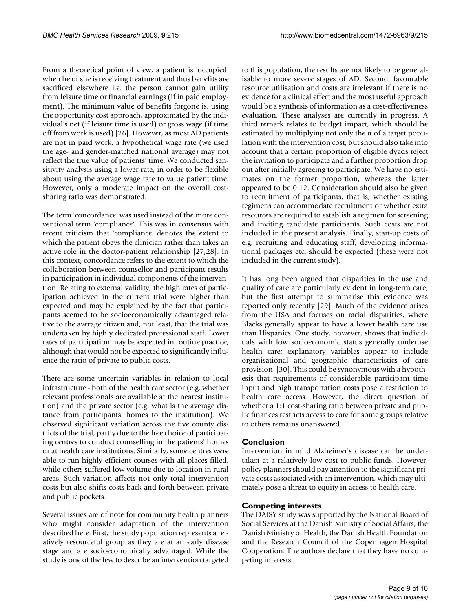From a theoretical point of view, a patient is 'occupied' when he or she is receiving treatment and thus benefits are sacrificed elsewhere i.e. the person cannot gain utility from leisure time or financial earnings (if in paid employment). The minimum value of benefits forgone is, using the opportunity cost approach, approximated by the individual's net (if leisure time is used) or gross wage (if time off from work is used) [26]. However, as most AD patients are not in paid work, a hypothetical wage rate (we used the age- and gender-matched national average) may not reflect the true value of patients' time. We conducted sensitivity analysis using a lower rate, in order to be flexible about using the average wage rate to value patient time. However, only a moderate impact on the overall costsharing ratio was demonstrated.

The term 'concordance' was used instead of the more conventional term 'compliance'. This was in consensus with recent criticism that 'compliance' denotes the extent to which the patient obeys the clinician rather than takes an active role in the doctor-patient relationship [27,28]. In this context, concordance refers to the extent to which the collaboration between counsellor and participant results in participation in individual components of the intervention. Relating to external validity, the high rates of participation achieved in the current trial were higher than expected and may be explained by the fact that participants seemed to be socioeconomically advantaged relative to the average citizen and, not least, that the trial was undertaken by highly dedicated professional staff. Lower rates of participation may be expected in routine practice, although that would not be expected to significantly influence the ratio of private to public costs.

There are some uncertain variables in relation to local infrastructure - both of the health care sector (e.g. whether relevant professionals are available at the nearest institution) and the private sector (e.g. what is the average distance from participants' homes to the institution). We observed significant variation across the five county districts of the trial, partly due to the free choice of participating centres to conduct counselling in the patients' homes or at health care institutions. Similarly, some centres were able to run highly efficient courses with all places filled, while others suffered low volume due to location in rural areas. Such variation affects not only total intervention costs but also shifts costs back and forth between private and public pockets.

Several issues are of note for community health planners who might consider adaptation of the intervention described here. First, the study population represents a relatively resourceful group as they are at an early disease stage and are socioeconomically advantaged. While the study is one of the few to describe an intervention targeted to this population, the results are not likely to be generalisable to more severe stages of AD. Second, favourable resource utilisation and costs are irrelevant if there is no evidence for a clinical effect and the most useful approach would be a synthesis of information as a cost-effectiveness evaluation. These analyses are currently in progress. A third remark relates to budget impact, which should be estimated by multiplying not only the *n* of a target population with the intervention cost, but should also take into account that a certain proportion of eligible dyads reject the invitation to participate and a further proportion drop out after initially agreeing to participate. We have no estimates on the former proportion, whereas the latter appeared to be 0.12. Consideration should also be given to recruitment of participants, that is, whether existing regimens can accommodate recruitment or whether extra resources are required to establish a regimen for screening and inviting candidate participants. Such costs are not included in the present analysis. Finally, start-up costs of e.g. recruiting and educating staff, developing informational packages etc. should be expected (these were not included in the current study).

It has long been argued that disparities in the use and quality of care are particularly evident in long-term care, but the first attempt to summarise this evidence was reported only recently [29]. Much of the evidence arises from the USA and focuses on racial disparities, where Blacks generally appear to have a lower health care use than Hispanics. One study, however, shows that individuals with low socioeconomic status generally underuse health care; explanatory variables appear to include organisational and geographic characteristics of care provision [30]. This could be synonymous with a hypothesis that requirements of considerable participant time input and high transportation costs pose a restriction to health care access. However, the direct question of whether a 1:1 cost-sharing ratio between private and public finances restricts access to care for some groups relative to others remains unanswered.

#### **Conclusion**

Intervention in mild Alzheimer's disease can be undertaken at a relatively low cost to public funds. However, policy planners should pay attention to the significant private costs associated with an intervention, which may ultimately pose a threat to equity in access to health care.

#### **Competing interests**

The DAISY study was supported by the National Board of Social Services at the Danish Ministry of Social Affairs, the Danish Ministry of Health, the Danish Health Foundation and the Research Council of the Copenhagen Hospital Cooperation. The authors declare that they have no competing interests.